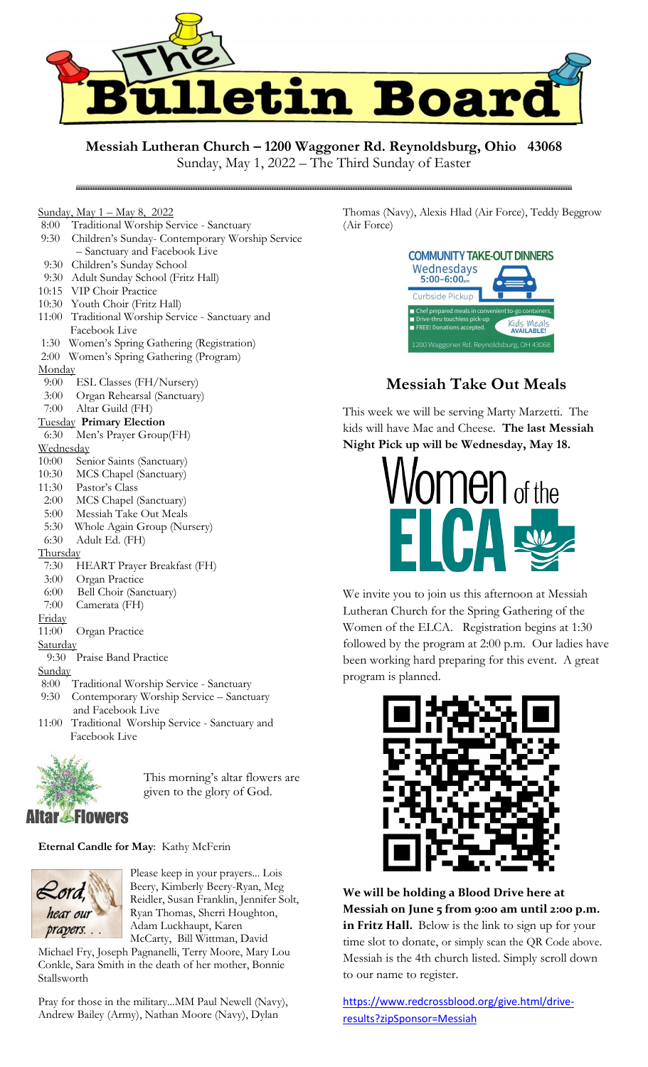

**Messiah Lutheran Church – 1200 Waggoner Rd. Reynoldsburg, Ohio 43068**

Sunday, May 1, 2022 – The Third Sunday of Easter

- Sunday, May 1 May 8, 2022 8:00 Traditional Worship Service - Sanctuary
- 9:30 Children's Sunday- Contemporary Worship Service
- Sanctuary and Facebook Live

- 9:30 Children's Sunday School
- 9:30 Adult Sunday School (Fritz Hall)
- 10:15 VIP Choir Practice
- 10:30 Youth Choir (Fritz Hall)
- 11:00 Traditional Worship Service Sanctuary and Facebook Live
- 1:30 Women's Spring Gathering (Registration)
- 2:00 Women's Spring Gathering (Program)

#### **Monday**

- 9:00 ESL Classes (FH/Nursery)
- 3:00 Organ Rehearsal (Sanctuary)

#### 7:00 Altar Guild (FH)

#### Tuesday **Primary Election**

6:30 Men's Prayer Group(FH)

#### **Wednesday**

- 10:00 Senior Saints (Sanctuary)
- 10:30 MCS Chapel (Sanctuary)
- 11:30 Pastor's Class
- 2:00 MCS Chapel (Sanctuary)
- 5:00 Messiah Take Out Meals
- 5:30 Whole Again Group (Nursery)

### 6:30 Adult Ed. (FH)

#### **Thursday**

- 7:30 HEART Prayer Breakfast (FH)
- 3:00 Organ Practice
- 6:00 Bell Choir (Sanctuary)
- 7:00 Camerata (FH)
- Friday
- 11:00 Organ Practice

## **Saturday**

9:30 Praise Band Practice

### Sunday

- 8:00 Traditional Worship Service Sanctuary
- 9:30 Contemporary Worship Service Sanctuary and Facebook Live
- 11:00 Traditional Worship Service Sanctuary and Facebook Live



This morning's altar flowers are given to the glory of God.

# **Eternal Candle for May**: Kathy McFerin



Please keep in your prayers... Lois Beery, Kimberly Beery-Ryan, Meg Reidler, Susan Franklin, Jennifer Solt, Ryan Thomas, Sherri Houghton, Adam Luckhaupt, Karen McCarty, Bill Wittman, David

Michael Fry, Joseph Pagnanelli, Terry Moore, Mary Lou Conkle, Sara Smith in the death of her mother, Bonnie Stallsworth

Pray for those in the military...MM Paul Newell (Navy), Andrew Bailey (Army), Nathan Moore (Navy), Dylan

Thomas (Navy), Alexis Hlad (Air Force), Teddy Beggrow (Air Force)



# **Messiah Take Out Meals**

This week we will be serving Marty Marzetti. The kids will have Mac and Cheese. **The last Messiah Night Pick up will be Wednesday, May 18.**



We invite you to join us this afternoon at Messiah Lutheran Church for the Spring Gathering of the Women of the ELCA. Registration begins at 1:30 followed by the program at 2:00 p.m. Our ladies have been working hard preparing for this event. A great program is planned.



**We will be holding a Blood Drive here at Messiah on June 5 from 9:00 am until 2:00 p.m. in Fritz Hall.** Below is the link to sign up for your time slot to donate, or simply scan the QR Code above. Messiah is the 4th church listed. Simply scroll down to our name to register.

[https://www.redcrossblood.org/give.html/drive](https://www.redcrossblood.org/give.html/drive-results?zipSponsor=Messiah)[results?zipSponsor=Messiah](https://www.redcrossblood.org/give.html/drive-results?zipSponsor=Messiah)